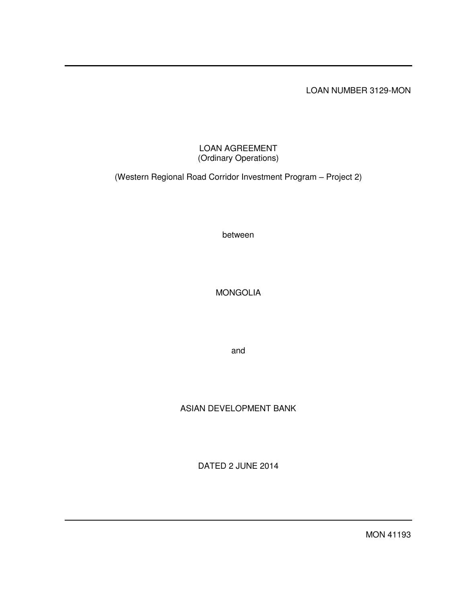LOAN NUMBER 3129-MON

# LOAN AGREEMENT (Ordinary Operations)

(Western Regional Road Corridor Investment Program – Project 2)

between

MONGOLIA

and

ASIAN DEVELOPMENT BANK

DATED 2 JUNE 2014

MON 41193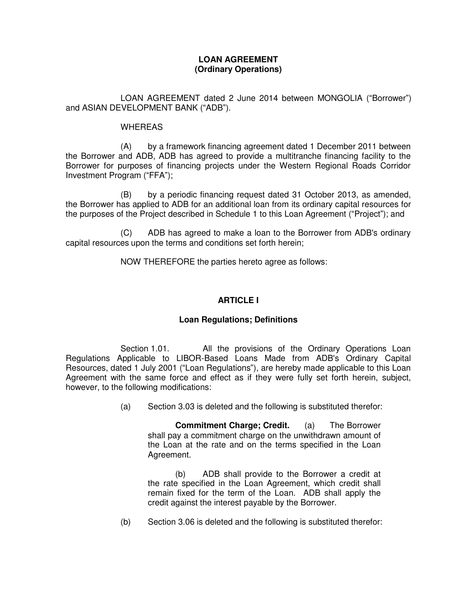## **LOAN AGREEMENT (Ordinary Operations)**

 LOAN AGREEMENT dated 2 June 2014 between MONGOLIA ("Borrower") and ASIAN DEVELOPMENT BANK ("ADB").

### WHEREAS

(A) by a framework financing agreement dated 1 December 2011 between the Borrower and ADB, ADB has agreed to provide a multitranche financing facility to the Borrower for purposes of financing projects under the Western Regional Roads Corridor Investment Program ("FFA");

(B) by a periodic financing request dated 31 October 2013, as amended, the Borrower has applied to ADB for an additional loan from its ordinary capital resources for the purposes of the Project described in Schedule 1 to this Loan Agreement ("Project"); and

(C) ADB has agreed to make a loan to the Borrower from ADB's ordinary capital resources upon the terms and conditions set forth herein;

NOW THEREFORE the parties hereto agree as follows:

### **ARTICLE I**

### **Loan Regulations; Definitions**

 Section 1.01. All the provisions of the Ordinary Operations Loan Regulations Applicable to LIBOR-Based Loans Made from ADB's Ordinary Capital Resources, dated 1 July 2001 ("Loan Regulations"), are hereby made applicable to this Loan Agreement with the same force and effect as if they were fully set forth herein, subject, however, to the following modifications:

(a) Section 3.03 is deleted and the following is substituted therefor:

**Commitment Charge; Credit.** (a) The Borrower shall pay a commitment charge on the unwithdrawn amount of the Loan at the rate and on the terms specified in the Loan Agreement.

(b) ADB shall provide to the Borrower a credit at the rate specified in the Loan Agreement, which credit shall remain fixed for the term of the Loan. ADB shall apply the credit against the interest payable by the Borrower.

(b) Section 3.06 is deleted and the following is substituted therefor: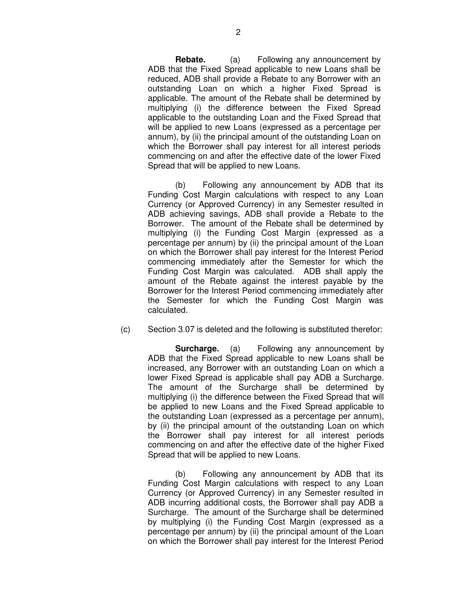**Rebate.** (a) Following any announcement by ADB that the Fixed Spread applicable to new Loans shall be reduced, ADB shall provide a Rebate to any Borrower with an outstanding Loan on which a higher Fixed Spread is applicable. The amount of the Rebate shall be determined by multiplying (i) the difference between the Fixed Spread applicable to the outstanding Loan and the Fixed Spread that will be applied to new Loans (expressed as a percentage per annum), by (ii) the principal amount of the outstanding Loan on which the Borrower shall pay interest for all interest periods commencing on and after the effective date of the lower Fixed Spread that will be applied to new Loans.

(b) Following any announcement by ADB that its Funding Cost Margin calculations with respect to any Loan Currency (or Approved Currency) in any Semester resulted in ADB achieving savings, ADB shall provide a Rebate to the Borrower. The amount of the Rebate shall be determined by multiplying (i) the Funding Cost Margin (expressed as a percentage per annum) by (ii) the principal amount of the Loan on which the Borrower shall pay interest for the Interest Period commencing immediately after the Semester for which the Funding Cost Margin was calculated. ADB shall apply the amount of the Rebate against the interest payable by the Borrower for the Interest Period commencing immediately after the Semester for which the Funding Cost Margin was calculated.

(c) Section 3.07 is deleted and the following is substituted therefor:

**Surcharge.** (a) Following any announcement by ADB that the Fixed Spread applicable to new Loans shall be increased, any Borrower with an outstanding Loan on which a lower Fixed Spread is applicable shall pay ADB a Surcharge. The amount of the Surcharge shall be determined by multiplying (i) the difference between the Fixed Spread that will be applied to new Loans and the Fixed Spread applicable to the outstanding Loan (expressed as a percentage per annum), by (ii) the principal amount of the outstanding Loan on which the Borrower shall pay interest for all interest periods commencing on and after the effective date of the higher Fixed Spread that will be applied to new Loans.

(b) Following any announcement by ADB that its Funding Cost Margin calculations with respect to any Loan Currency (or Approved Currency) in any Semester resulted in ADB incurring additional costs, the Borrower shall pay ADB a Surcharge. The amount of the Surcharge shall be determined by multiplying (i) the Funding Cost Margin (expressed as a percentage per annum) by (ii) the principal amount of the Loan on which the Borrower shall pay interest for the Interest Period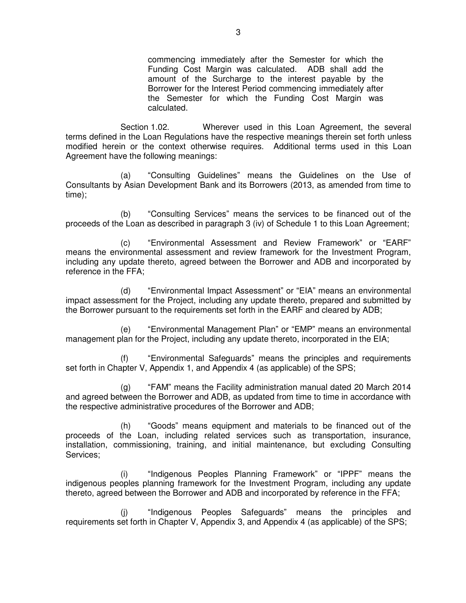commencing immediately after the Semester for which the Funding Cost Margin was calculated. ADB shall add the amount of the Surcharge to the interest payable by the Borrower for the Interest Period commencing immediately after the Semester for which the Funding Cost Margin was calculated.

 Section 1.02. Wherever used in this Loan Agreement, the several terms defined in the Loan Regulations have the respective meanings therein set forth unless modified herein or the context otherwise requires. Additional terms used in this Loan Agreement have the following meanings:

(a) "Consulting Guidelines" means the Guidelines on the Use of Consultants by Asian Development Bank and its Borrowers (2013, as amended from time to time);

(b) "Consulting Services" means the services to be financed out of the proceeds of the Loan as described in paragraph 3 (iv) of Schedule 1 to this Loan Agreement;

(c) "Environmental Assessment and Review Framework" or "EARF" means the environmental assessment and review framework for the Investment Program, including any update thereto, agreed between the Borrower and ADB and incorporated by reference in the FFA;

(d) "Environmental Impact Assessment" or "EIA" means an environmental impact assessment for the Project, including any update thereto, prepared and submitted by the Borrower pursuant to the requirements set forth in the EARF and cleared by ADB;

(e) "Environmental Management Plan" or "EMP" means an environmental management plan for the Project, including any update thereto, incorporated in the EIA;

(f) "Environmental Safeguards" means the principles and requirements set forth in Chapter V, Appendix 1, and Appendix 4 (as applicable) of the SPS;

(g) "FAM" means the Facility administration manual dated 20 March 2014 and agreed between the Borrower and ADB, as updated from time to time in accordance with the respective administrative procedures of the Borrower and ADB;

(h) "Goods" means equipment and materials to be financed out of the proceeds of the Loan, including related services such as transportation, insurance, installation, commissioning, training, and initial maintenance, but excluding Consulting Services;

(i) "Indigenous Peoples Planning Framework" or "IPPF" means the indigenous peoples planning framework for the Investment Program, including any update thereto, agreed between the Borrower and ADB and incorporated by reference in the FFA;

(j) "Indigenous Peoples Safeguards" means the principles and requirements set forth in Chapter V, Appendix 3, and Appendix 4 (as applicable) of the SPS;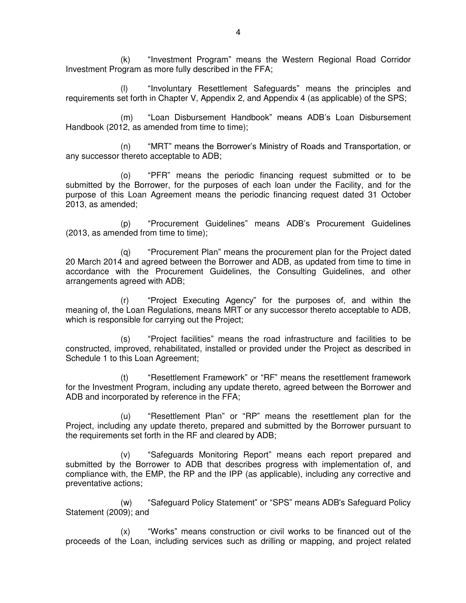(k) "Investment Program" means the Western Regional Road Corridor Investment Program as more fully described in the FFA;

(l) "Involuntary Resettlement Safeguards" means the principles and requirements set forth in Chapter V, Appendix 2, and Appendix 4 (as applicable) of the SPS;

(m) "Loan Disbursement Handbook" means ADB's Loan Disbursement Handbook (2012, as amended from time to time);

(n) "MRT" means the Borrower's Ministry of Roads and Transportation, or any successor thereto acceptable to ADB;

(o) "PFR" means the periodic financing request submitted or to be submitted by the Borrower, for the purposes of each loan under the Facility, and for the purpose of this Loan Agreement means the periodic financing request dated 31 October 2013, as amended;

(p) "Procurement Guidelines" means ADB's Procurement Guidelines (2013, as amended from time to time);

(q) "Procurement Plan" means the procurement plan for the Project dated 20 March 2014 and agreed between the Borrower and ADB, as updated from time to time in accordance with the Procurement Guidelines, the Consulting Guidelines, and other arrangements agreed with ADB;

(r) "Project Executing Agency" for the purposes of, and within the meaning of, the Loan Regulations, means MRT or any successor thereto acceptable to ADB, which is responsible for carrying out the Project;

(s) "Project facilities" means the road infrastructure and facilities to be constructed, improved, rehabilitated, installed or provided under the Project as described in Schedule 1 to this Loan Agreement;

(t) "Resettlement Framework" or "RF" means the resettlement framework for the Investment Program, including any update thereto, agreed between the Borrower and ADB and incorporated by reference in the FFA;

(u) "Resettlement Plan" or "RP" means the resettlement plan for the Project, including any update thereto, prepared and submitted by the Borrower pursuant to the requirements set forth in the RF and cleared by ADB;

(v) "Safeguards Monitoring Report" means each report prepared and submitted by the Borrower to ADB that describes progress with implementation of, and compliance with, the EMP, the RP and the IPP (as applicable), including any corrective and preventative actions;

(w) "Safeguard Policy Statement" or "SPS" means ADB's Safeguard Policy Statement (2009); and

(x) "Works" means construction or civil works to be financed out of the proceeds of the Loan, including services such as drilling or mapping, and project related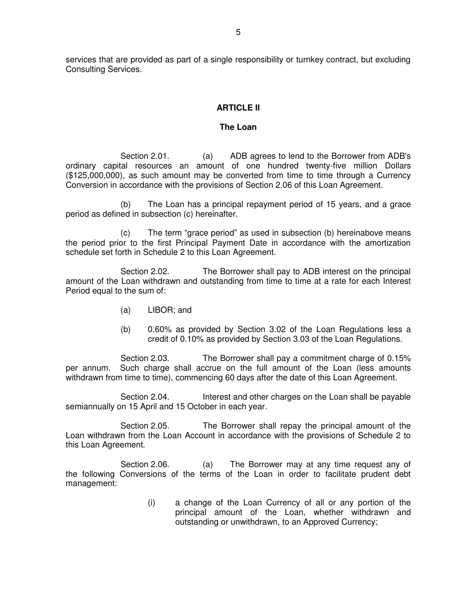services that are provided as part of a single responsibility or turnkey contract, but excluding Consulting Services.

### **ARTICLE II**

### **The Loan**

Section 2.01. (a) ADB agrees to lend to the Borrower from ADB's ordinary capital resources an amount of one hundred twenty-five million Dollars (\$125,000,000), as such amount may be converted from time to time through a Currency Conversion in accordance with the provisions of Section 2.06 of this Loan Agreement.

(b) The Loan has a principal repayment period of 15 years, and a grace period as defined in subsection (c) hereinafter.

(c) The term "grace period" as used in subsection (b) hereinabove means the period prior to the first Principal Payment Date in accordance with the amortization schedule set forth in Schedule 2 to this Loan Agreement.

 Section 2.02. The Borrower shall pay to ADB interest on the principal amount of the Loan withdrawn and outstanding from time to time at a rate for each Interest Period equal to the sum of:

- (a) LIBOR; and
- (b) 0.60% as provided by Section 3.02 of the Loan Regulations less a credit of 0.10% as provided by Section 3.03 of the Loan Regulations.

 Section 2.03. The Borrower shall pay a commitment charge of 0.15% per annum. Such charge shall accrue on the full amount of the Loan (less amounts withdrawn from time to time), commencing 60 days after the date of this Loan Agreement.

 Section 2.04. Interest and other charges on the Loan shall be payable semiannually on 15 April and 15 October in each year.

 Section 2.05. The Borrower shall repay the principal amount of the Loan withdrawn from the Loan Account in accordance with the provisions of Schedule 2 to this Loan Agreement.

Section 2.06. (a) The Borrower may at any time request any of the following Conversions of the terms of the Loan in order to facilitate prudent debt management:

> (i) a change of the Loan Currency of all or any portion of the principal amount of the Loan, whether withdrawn and outstanding or unwithdrawn, to an Approved Currency;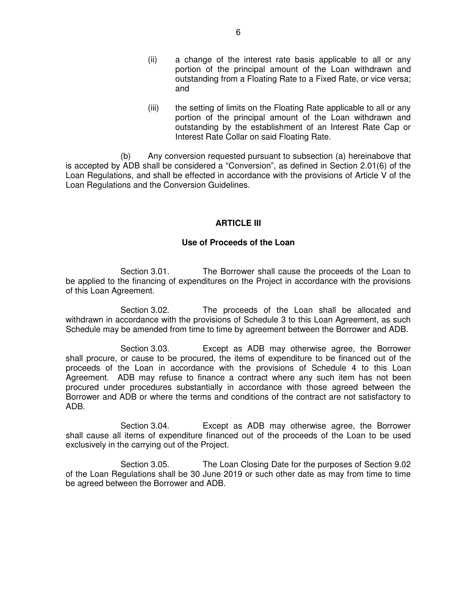- (ii) a change of the interest rate basis applicable to all or any portion of the principal amount of the Loan withdrawn and outstanding from a Floating Rate to a Fixed Rate, or vice versa; and
- (iii) the setting of limits on the Floating Rate applicable to all or any portion of the principal amount of the Loan withdrawn and outstanding by the establishment of an Interest Rate Cap or Interest Rate Collar on said Floating Rate.

(b) Any conversion requested pursuant to subsection (a) hereinabove that is accepted by ADB shall be considered a "Conversion", as defined in Section 2.01(6) of the Loan Regulations, and shall be effected in accordance with the provisions of Article V of the Loan Regulations and the Conversion Guidelines.

## **ARTICLE III**

### **Use of Proceeds of the Loan**

 Section 3.01. The Borrower shall cause the proceeds of the Loan to be applied to the financing of expenditures on the Project in accordance with the provisions of this Loan Agreement.

 Section 3.02. The proceeds of the Loan shall be allocated and withdrawn in accordance with the provisions of Schedule 3 to this Loan Agreement, as such Schedule may be amended from time to time by agreement between the Borrower and ADB.

 Section 3.03. Except as ADB may otherwise agree, the Borrower shall procure, or cause to be procured, the items of expenditure to be financed out of the proceeds of the Loan in accordance with the provisions of Schedule 4 to this Loan Agreement. ADB may refuse to finance a contract where any such item has not been procured under procedures substantially in accordance with those agreed between the Borrower and ADB or where the terms and conditions of the contract are not satisfactory to ADB.

 Section 3.04. Except as ADB may otherwise agree, the Borrower shall cause all items of expenditure financed out of the proceeds of the Loan to be used exclusively in the carrying out of the Project.

Section 3.05. The Loan Closing Date for the purposes of Section 9.02 of the Loan Regulations shall be 30 June 2019 or such other date as may from time to time be agreed between the Borrower and ADB.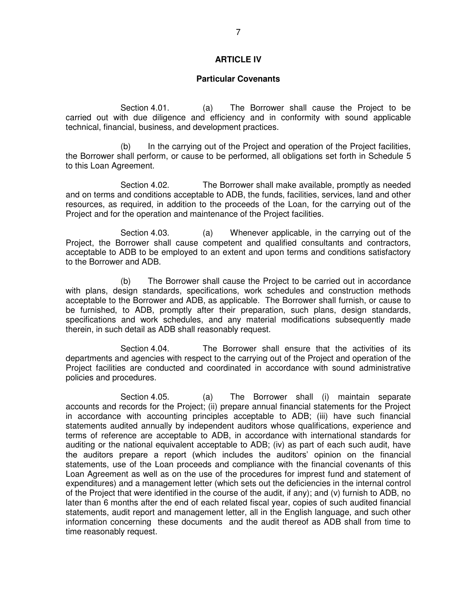### **ARTICLE IV**

#### **Particular Covenants**

 Section 4.01. (a) The Borrower shall cause the Project to be carried out with due diligence and efficiency and in conformity with sound applicable technical, financial, business, and development practices.

 (b) In the carrying out of the Project and operation of the Project facilities, the Borrower shall perform, or cause to be performed, all obligations set forth in Schedule 5 to this Loan Agreement.

 Section 4.02. The Borrower shall make available, promptly as needed and on terms and conditions acceptable to ADB, the funds, facilities, services, land and other resources, as required, in addition to the proceeds of the Loan, for the carrying out of the Project and for the operation and maintenance of the Project facilities.

 Section 4.03. (a) Whenever applicable, in the carrying out of the Project, the Borrower shall cause competent and qualified consultants and contractors, acceptable to ADB to be employed to an extent and upon terms and conditions satisfactory to the Borrower and ADB.

 (b) The Borrower shall cause the Project to be carried out in accordance with plans, design standards, specifications, work schedules and construction methods acceptable to the Borrower and ADB, as applicable. The Borrower shall furnish, or cause to be furnished, to ADB, promptly after their preparation, such plans, design standards, specifications and work schedules, and any material modifications subsequently made therein, in such detail as ADB shall reasonably request.

 Section 4.04. The Borrower shall ensure that the activities of its departments and agencies with respect to the carrying out of the Project and operation of the Project facilities are conducted and coordinated in accordance with sound administrative policies and procedures.

Section 4.05. (a) The Borrower shall (i) maintain separate accounts and records for the Project; (ii) prepare annual financial statements for the Project in accordance with accounting principles acceptable to ADB; (iii) have such financial statements audited annually by independent auditors whose qualifications, experience and terms of reference are acceptable to ADB, in accordance with international standards for auditing or the national equivalent acceptable to ADB; (iv) as part of each such audit, have the auditors prepare a report (which includes the auditors' opinion on the financial statements, use of the Loan proceeds and compliance with the financial covenants of this Loan Agreement as well as on the use of the procedures for imprest fund and statement of expenditures) and a management letter (which sets out the deficiencies in the internal control of the Project that were identified in the course of the audit, if any); and (v) furnish to ADB, no later than 6 months after the end of each related fiscal year, copies of such audited financial statements, audit report and management letter, all in the English language, and such other information concerning these documents and the audit thereof as ADB shall from time to time reasonably request.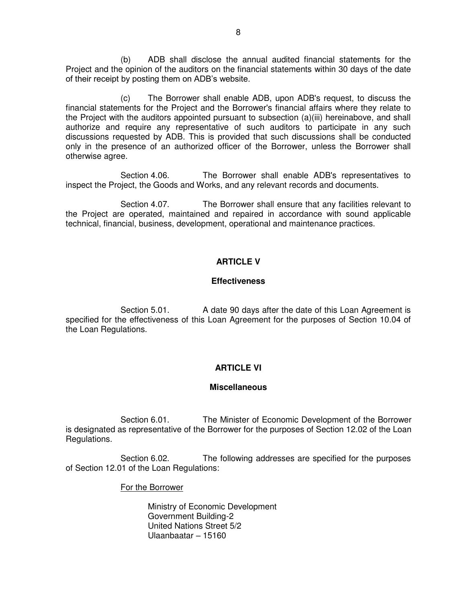(b) ADB shall disclose the annual audited financial statements for the Project and the opinion of the auditors on the financial statements within 30 days of the date of their receipt by posting them on ADB's website.

(c) The Borrower shall enable ADB, upon ADB's request, to discuss the financial statements for the Project and the Borrower's financial affairs where they relate to the Project with the auditors appointed pursuant to subsection (a)(iii) hereinabove, and shall authorize and require any representative of such auditors to participate in any such discussions requested by ADB. This is provided that such discussions shall be conducted only in the presence of an authorized officer of the Borrower, unless the Borrower shall otherwise agree.

 Section 4.06. The Borrower shall enable ADB's representatives to inspect the Project, the Goods and Works, and any relevant records and documents.

 Section 4.07. The Borrower shall ensure that any facilities relevant to the Project are operated, maintained and repaired in accordance with sound applicable technical, financial, business, development, operational and maintenance practices.

### **ARTICLE V**

### **Effectiveness**

Section 5.01. A date 90 days after the date of this Loan Agreement is specified for the effectiveness of this Loan Agreement for the purposes of Section 10.04 of the Loan Regulations.

### **ARTICLE VI**

#### **Miscellaneous**

 Section 6.01. The Minister of Economic Development of the Borrower is designated as representative of the Borrower for the purposes of Section 12.02 of the Loan Regulations.

 Section 6.02. The following addresses are specified for the purposes of Section 12.01 of the Loan Regulations:

### For the Borrower

 Ministry of Economic Development Government Building-2 United Nations Street 5/2 Ulaanbaatar – 15160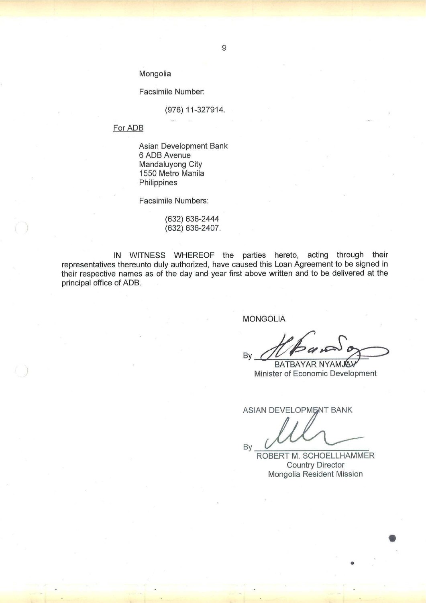Mongolia

Facsimile Number:

(976) 11-327914.

For ADB

Asian Development Bank 6 ADB Avenue Mandaluyong City 1550 Metro Manila Philippines

Facsimile Numbers:

(632) 636-2444 (632) 636-2407.

IN WITNESS WHEREOF the parties hereto, acting through their representatives thereunto duly authorized, have caused this Loan Agreement to be signed in their respective names as of the day and year first above written and to be delivered at the principal office of ADB.

**MONGOLIA** 

Bv

**BATBAYAR NYAMJA** Minister of Economic Development

**ASIAN DEVELOPMENT BANK** 

By

ROBERT M. SCHOELLHAMMER **Country Director** Mongolia Resident Mission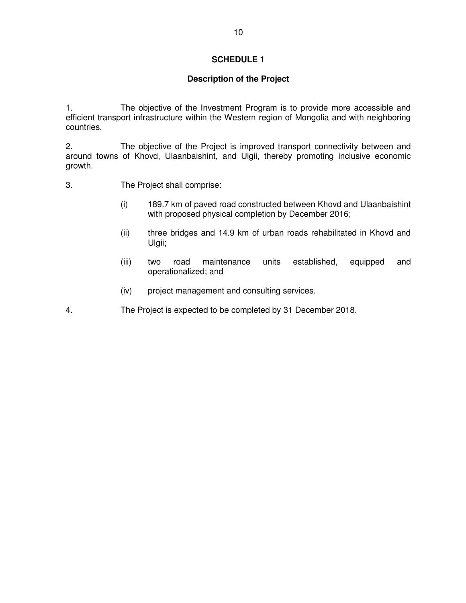## **Description of the Project**

1. The objective of the Investment Program is to provide more accessible and efficient transport infrastructure within the Western region of Mongolia and with neighboring countries.

2. The objective of the Project is improved transport connectivity between and around towns of Khovd, Ulaanbaishint, and Ulgii, thereby promoting inclusive economic growth.

- 3. The Project shall comprise:
	- (i) 189.7 km of paved road constructed between Khovd and Ulaanbaishint with proposed physical completion by December 2016;
	- (ii) three bridges and 14.9 km of urban roads rehabilitated in Khovd and Ulgii;
	- (iii) two road maintenance units established, equipped and operationalized; and
	- (iv) project management and consulting services.
- 4. The Project is expected to be completed by 31 December 2018.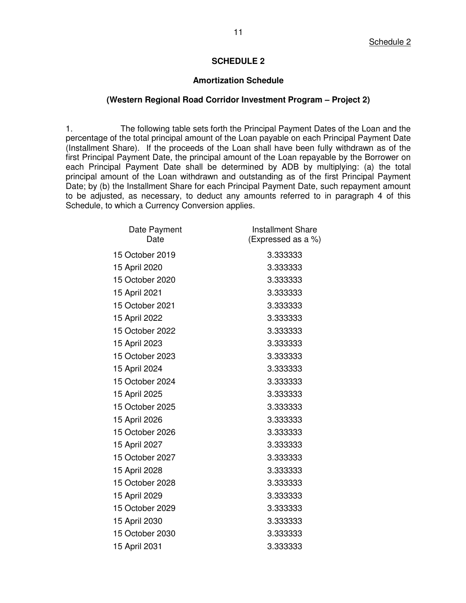#### **Amortization Schedule**

#### **(Western Regional Road Corridor Investment Program – Project 2)**

1. The following table sets forth the Principal Payment Dates of the Loan and the percentage of the total principal amount of the Loan payable on each Principal Payment Date (Installment Share). If the proceeds of the Loan shall have been fully withdrawn as of the first Principal Payment Date, the principal amount of the Loan repayable by the Borrower on each Principal Payment Date shall be determined by ADB by multiplying: (a) the total principal amount of the Loan withdrawn and outstanding as of the first Principal Payment Date; by (b) the Installment Share for each Principal Payment Date, such repayment amount to be adjusted, as necessary, to deduct any amounts referred to in paragraph 4 of this Schedule, to which a Currency Conversion applies.

| Date Payment<br>Date | <b>Installment Share</b><br>(Expressed as a %) |
|----------------------|------------------------------------------------|
| 15 October 2019      | 3.333333                                       |
| 15 April 2020        | 3.333333                                       |
| 15 October 2020      | 3.333333                                       |
| 15 April 2021        | 3.333333                                       |
| 15 October 2021      | 3.333333                                       |
| 15 April 2022        | 3.333333                                       |
| 15 October 2022      | 3.333333                                       |
| 15 April 2023        | 3.333333                                       |
| 15 October 2023      | 3.333333                                       |
| 15 April 2024        | 3.333333                                       |
| 15 October 2024      | 3.333333                                       |
| 15 April 2025        | 3.333333                                       |
| 15 October 2025      | 3.333333                                       |
| 15 April 2026        | 3.333333                                       |
| 15 October 2026      | 3.333333                                       |
| 15 April 2027        | 3.333333                                       |
| 15 October 2027      | 3.333333                                       |
| 15 April 2028        | 3.333333                                       |
| 15 October 2028      | 3.333333                                       |
| 15 April 2029        | 3.333333                                       |
| 15 October 2029      | 3.333333                                       |
| 15 April 2030        | 3.333333                                       |
| 15 October 2030      | 3.333333                                       |
| 15 April 2031        | 3.333333                                       |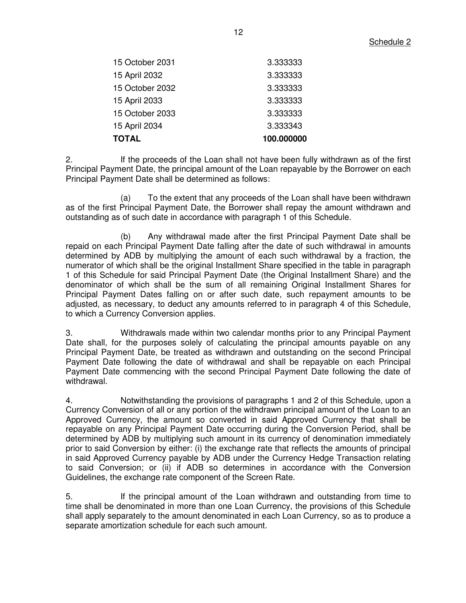| TOTAL           | 100.000000 |
|-----------------|------------|
| 15 April 2034   | 3.333343   |
| 15 October 2033 | 3.333333   |
| 15 April 2033   | 3.333333   |
| 15 October 2032 | 3.333333   |
| 15 April 2032   | 3.333333   |
| 15 October 2031 | 3.333333   |

2. If the proceeds of the Loan shall not have been fully withdrawn as of the first Principal Payment Date, the principal amount of the Loan repayable by the Borrower on each Principal Payment Date shall be determined as follows:

(a) To the extent that any proceeds of the Loan shall have been withdrawn as of the first Principal Payment Date, the Borrower shall repay the amount withdrawn and outstanding as of such date in accordance with paragraph 1 of this Schedule.

(b) Any withdrawal made after the first Principal Payment Date shall be repaid on each Principal Payment Date falling after the date of such withdrawal in amounts determined by ADB by multiplying the amount of each such withdrawal by a fraction, the numerator of which shall be the original Installment Share specified in the table in paragraph 1 of this Schedule for said Principal Payment Date (the Original Installment Share) and the denominator of which shall be the sum of all remaining Original Installment Shares for Principal Payment Dates falling on or after such date, such repayment amounts to be adjusted, as necessary, to deduct any amounts referred to in paragraph 4 of this Schedule, to which a Currency Conversion applies.

3. Withdrawals made within two calendar months prior to any Principal Payment Date shall, for the purposes solely of calculating the principal amounts payable on any Principal Payment Date, be treated as withdrawn and outstanding on the second Principal Payment Date following the date of withdrawal and shall be repayable on each Principal Payment Date commencing with the second Principal Payment Date following the date of withdrawal.

4. Notwithstanding the provisions of paragraphs 1 and 2 of this Schedule, upon a Currency Conversion of all or any portion of the withdrawn principal amount of the Loan to an Approved Currency, the amount so converted in said Approved Currency that shall be repayable on any Principal Payment Date occurring during the Conversion Period, shall be determined by ADB by multiplying such amount in its currency of denomination immediately prior to said Conversion by either: (i) the exchange rate that reflects the amounts of principal in said Approved Currency payable by ADB under the Currency Hedge Transaction relating to said Conversion; or (ii) if ADB so determines in accordance with the Conversion Guidelines, the exchange rate component of the Screen Rate.

5. If the principal amount of the Loan withdrawn and outstanding from time to time shall be denominated in more than one Loan Currency, the provisions of this Schedule shall apply separately to the amount denominated in each Loan Currency, so as to produce a separate amortization schedule for each such amount.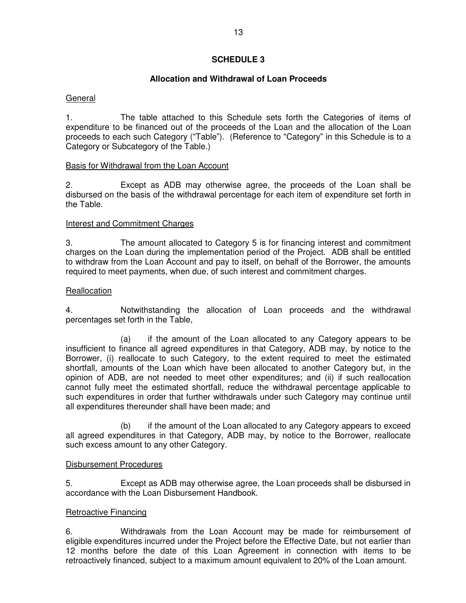## **Allocation and Withdrawal of Loan Proceeds**

## General

1. The table attached to this Schedule sets forth the Categories of items of expenditure to be financed out of the proceeds of the Loan and the allocation of the Loan proceeds to each such Category ("Table"). (Reference to "Category" in this Schedule is to a Category or Subcategory of the Table.)

### Basis for Withdrawal from the Loan Account

2. Except as ADB may otherwise agree, the proceeds of the Loan shall be disbursed on the basis of the withdrawal percentage for each item of expenditure set forth in the Table.

## Interest and Commitment Charges

3. The amount allocated to Category 5 is for financing interest and commitment charges on the Loan during the implementation period of the Project. ADB shall be entitled to withdraw from the Loan Account and pay to itself, on behalf of the Borrower, the amounts required to meet payments, when due, of such interest and commitment charges.

## **Reallocation**

4. Notwithstanding the allocation of Loan proceeds and the withdrawal percentages set forth in the Table,

 (a) if the amount of the Loan allocated to any Category appears to be insufficient to finance all agreed expenditures in that Category, ADB may, by notice to the Borrower, (i) reallocate to such Category, to the extent required to meet the estimated shortfall, amounts of the Loan which have been allocated to another Category but, in the opinion of ADB, are not needed to meet other expenditures; and (ii) if such reallocation cannot fully meet the estimated shortfall, reduce the withdrawal percentage applicable to such expenditures in order that further withdrawals under such Category may continue until all expenditures thereunder shall have been made; and

 (b) if the amount of the Loan allocated to any Category appears to exceed all agreed expenditures in that Category, ADB may, by notice to the Borrower, reallocate such excess amount to any other Category.

### Disbursement Procedures

5. Except as ADB may otherwise agree, the Loan proceeds shall be disbursed in accordance with the Loan Disbursement Handbook.

### Retroactive Financing

6. Withdrawals from the Loan Account may be made for reimbursement of eligible expenditures incurred under the Project before the Effective Date, but not earlier than 12 months before the date of this Loan Agreement in connection with items to be retroactively financed, subject to a maximum amount equivalent to 20% of the Loan amount.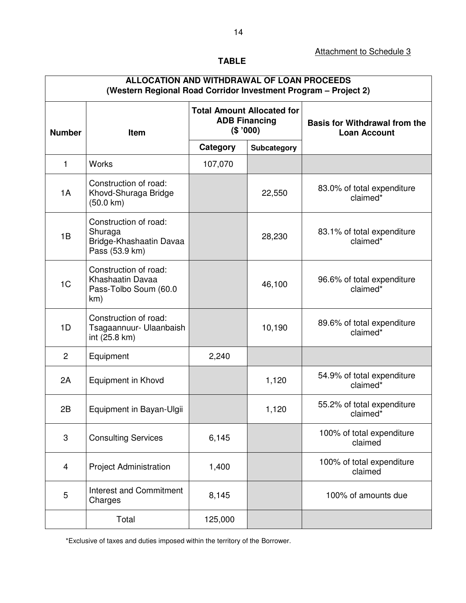### **TABLE**

# **ALLOCATION AND WITHDRAWAL OF LOAN PROCEEDS (Western Regional Road Corridor Investment Program – Project 2)**

| <b>Number</b>  | Item                                                                          | <b>Total Amount Allocated for</b><br><b>ADB Financing</b><br>(\$'000) |             | <b>Basis for Withdrawal from the</b><br><b>Loan Account</b> |  |  |
|----------------|-------------------------------------------------------------------------------|-----------------------------------------------------------------------|-------------|-------------------------------------------------------------|--|--|
|                |                                                                               | Category                                                              | Subcategory |                                                             |  |  |
| $\mathbf 1$    | <b>Works</b>                                                                  | 107,070                                                               |             |                                                             |  |  |
| 1A             | Construction of road:<br>Khovd-Shuraga Bridge<br>$(50.0 \text{ km})$          |                                                                       | 22,550      | 83.0% of total expenditure<br>claimed*                      |  |  |
| 1B             | Construction of road:<br>Shuraga<br>Bridge-Khashaatin Davaa<br>Pass (53.9 km) |                                                                       | 28,230      | 83.1% of total expenditure<br>claimed*                      |  |  |
| 1 <sup>C</sup> | Construction of road:<br>Khashaatin Davaa<br>Pass-Tolbo Soum (60.0<br>km)     |                                                                       | 46,100      | 96.6% of total expenditure<br>claimed <sup>*</sup>          |  |  |
| 1D             | Construction of road:<br>Tsagaannuur- Ulaanbaish<br>int (25.8 km)             |                                                                       | 10,190      | 89.6% of total expenditure<br>claimed*                      |  |  |
| $\overline{c}$ | Equipment                                                                     | 2,240                                                                 |             |                                                             |  |  |
| 2A             | Equipment in Khovd                                                            |                                                                       | 1,120       | 54.9% of total expenditure<br>claimed*                      |  |  |
| 2B             | Equipment in Bayan-Ulgii                                                      |                                                                       | 1,120       | 55.2% of total expenditure<br>claimed*                      |  |  |
| 3              | <b>Consulting Services</b>                                                    | 6,145                                                                 |             | 100% of total expenditure<br>claimed                        |  |  |
| 4              | <b>Project Administration</b>                                                 | 1,400                                                                 |             | 100% of total expenditure<br>claimed                        |  |  |
| 5              | <b>Interest and Commitment</b><br>Charges                                     | 8,145                                                                 |             | 100% of amounts due                                         |  |  |
|                | Total                                                                         | 125,000                                                               |             |                                                             |  |  |

\*Exclusive of taxes and duties imposed within the territory of the Borrower.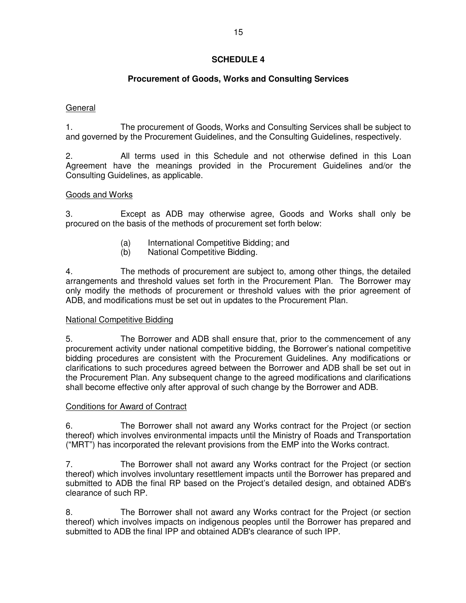# **Procurement of Goods, Works and Consulting Services**

# General

1. The procurement of Goods, Works and Consulting Services shall be subject to and governed by the Procurement Guidelines, and the Consulting Guidelines, respectively.

2. All terms used in this Schedule and not otherwise defined in this Loan Agreement have the meanings provided in the Procurement Guidelines and/or the Consulting Guidelines, as applicable.

## Goods and Works

3. Except as ADB may otherwise agree, Goods and Works shall only be procured on the basis of the methods of procurement set forth below:

- (a) International Competitive Bidding; and
- (b) National Competitive Bidding.

4. The methods of procurement are subject to, among other things, the detailed arrangements and threshold values set forth in the Procurement Plan. The Borrower may only modify the methods of procurement or threshold values with the prior agreement of ADB, and modifications must be set out in updates to the Procurement Plan.

## National Competitive Bidding

5. The Borrower and ADB shall ensure that, prior to the commencement of any procurement activity under national competitive bidding, the Borrower's national competitive bidding procedures are consistent with the Procurement Guidelines. Any modifications or clarifications to such procedures agreed between the Borrower and ADB shall be set out in the Procurement Plan. Any subsequent change to the agreed modifications and clarifications shall become effective only after approval of such change by the Borrower and ADB.

### Conditions for Award of Contract

6. The Borrower shall not award any Works contract for the Project (or section thereof) which involves environmental impacts until the Ministry of Roads and Transportation ("MRT") has incorporated the relevant provisions from the EMP into the Works contract.

7. The Borrower shall not award any Works contract for the Project (or section thereof) which involves involuntary resettlement impacts until the Borrower has prepared and submitted to ADB the final RP based on the Project's detailed design, and obtained ADB's clearance of such RP.

8. The Borrower shall not award any Works contract for the Project (or section thereof) which involves impacts on indigenous peoples until the Borrower has prepared and submitted to ADB the final IPP and obtained ADB's clearance of such IPP.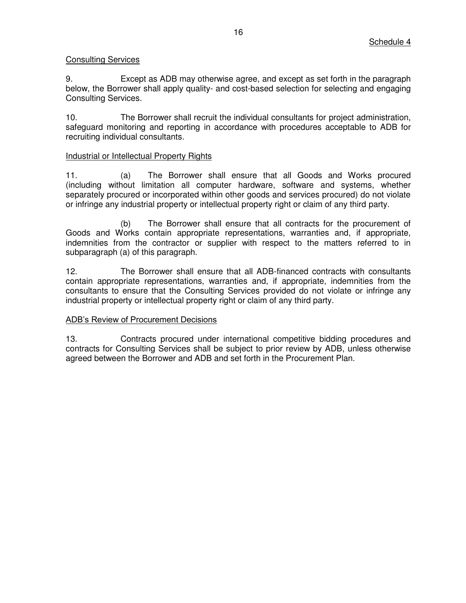## Consulting Services

9. Except as ADB may otherwise agree, and except as set forth in the paragraph below, the Borrower shall apply quality- and cost-based selection for selecting and engaging Consulting Services.

10. The Borrower shall recruit the individual consultants for project administration, safeguard monitoring and reporting in accordance with procedures acceptable to ADB for recruiting individual consultants.

## Industrial or Intellectual Property Rights

11. (a) The Borrower shall ensure that all Goods and Works procured (including without limitation all computer hardware, software and systems, whether separately procured or incorporated within other goods and services procured) do not violate or infringe any industrial property or intellectual property right or claim of any third party.

 (b) The Borrower shall ensure that all contracts for the procurement of Goods and Works contain appropriate representations, warranties and, if appropriate, indemnities from the contractor or supplier with respect to the matters referred to in subparagraph (a) of this paragraph.

12. The Borrower shall ensure that all ADB-financed contracts with consultants contain appropriate representations, warranties and, if appropriate, indemnities from the consultants to ensure that the Consulting Services provided do not violate or infringe any industrial property or intellectual property right or claim of any third party.

## ADB's Review of Procurement Decisions

13. Contracts procured under international competitive bidding procedures and contracts for Consulting Services shall be subject to prior review by ADB, unless otherwise agreed between the Borrower and ADB and set forth in the Procurement Plan.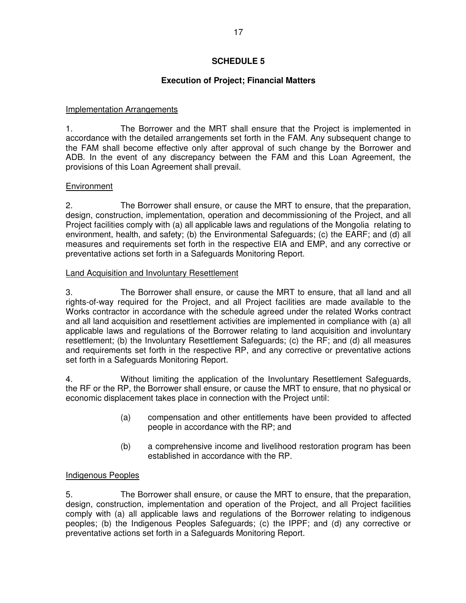# **Execution of Project; Financial Matters**

## Implementation Arrangements

1. The Borrower and the MRT shall ensure that the Project is implemented in accordance with the detailed arrangements set forth in the FAM. Any subsequent change to the FAM shall become effective only after approval of such change by the Borrower and ADB. In the event of any discrepancy between the FAM and this Loan Agreement, the provisions of this Loan Agreement shall prevail.

## Environment

2. The Borrower shall ensure, or cause the MRT to ensure, that the preparation, design, construction, implementation, operation and decommissioning of the Project, and all Project facilities comply with (a) all applicable laws and regulations of the Mongolia relating to environment, health, and safety; (b) the Environmental Safeguards; (c) the EARF; and (d) all measures and requirements set forth in the respective EIA and EMP, and any corrective or preventative actions set forth in a Safeguards Monitoring Report.

## Land Acquisition and Involuntary Resettlement

3. The Borrower shall ensure, or cause the MRT to ensure, that all land and all rights-of-way required for the Project, and all Project facilities are made available to the Works contractor in accordance with the schedule agreed under the related Works contract and all land acquisition and resettlement activities are implemented in compliance with (a) all applicable laws and regulations of the Borrower relating to land acquisition and involuntary resettlement; (b) the Involuntary Resettlement Safeguards; (c) the RF; and (d) all measures and requirements set forth in the respective RP, and any corrective or preventative actions set forth in a Safeguards Monitoring Report.

4. Without limiting the application of the Involuntary Resettlement Safeguards*,* the RF or the RP, the Borrower shall ensure, or cause the MRT to ensure, that no physical or economic displacement takes place in connection with the Project until:

- (a) compensation and other entitlements have been provided to affected people in accordance with the RP; and
- (b) a comprehensive income and livelihood restoration program has been established in accordance with the RP.

## Indigenous Peoples

5. The Borrower shall ensure, or cause the MRT to ensure, that the preparation, design, construction, implementation and operation of the Project, and all Project facilities comply with (a) all applicable laws and regulations of the Borrower relating to indigenous peoples; (b) the Indigenous Peoples Safeguards; (c) the IPPF; and (d) any corrective or preventative actions set forth in a Safeguards Monitoring Report.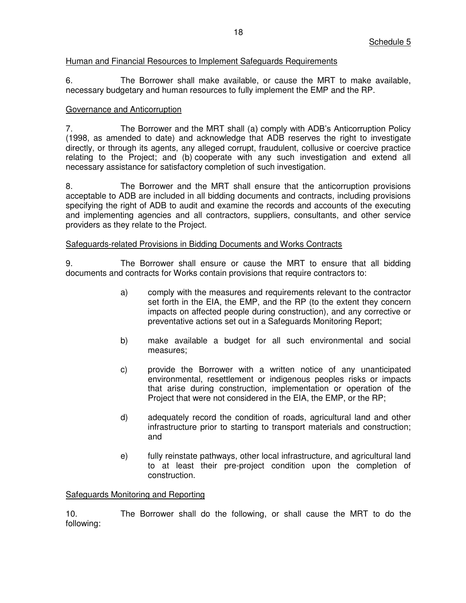## Human and Financial Resources to Implement Safeguards Requirements

6. The Borrower shall make available, or cause the MRT to make available, necessary budgetary and human resources to fully implement the EMP and the RP.

## Governance and Anticorruption

7. The Borrower and the MRT shall (a) comply with ADB's Anticorruption Policy (1998, as amended to date) and acknowledge that ADB reserves the right to investigate directly, or through its agents, any alleged corrupt, fraudulent, collusive or coercive practice relating to the Project; and (b) cooperate with any such investigation and extend all necessary assistance for satisfactory completion of such investigation.

8. The Borrower and the MRT shall ensure that the anticorruption provisions acceptable to ADB are included in all bidding documents and contracts, including provisions specifying the right of ADB to audit and examine the records and accounts of the executing and implementing agencies and all contractors, suppliers, consultants, and other service providers as they relate to the Project.

## Safeguards-related Provisions in Bidding Documents and Works Contracts

9. The Borrower shall ensure or cause the MRT to ensure that all bidding documents and contracts for Works contain provisions that require contractors to:

- a) comply with the measures and requirements relevant to the contractor set forth in the EIA, the EMP, and the RP (to the extent they concern impacts on affected people during construction), and any corrective or preventative actions set out in a Safeguards Monitoring Report;
- b) make available a budget for all such environmental and social measures;
- c) provide the Borrower with a written notice of any unanticipated environmental, resettlement or indigenous peoples risks or impacts that arise during construction, implementation or operation of the Project that were not considered in the EIA, the EMP, or the RP;
- d) adequately record the condition of roads, agricultural land and other infrastructure prior to starting to transport materials and construction; and
- e) fully reinstate pathways, other local infrastructure, and agricultural land to at least their pre-project condition upon the completion of construction.

Safeguards Monitoring and Reporting

10. The Borrower shall do the following, or shall cause the MRT to do the following: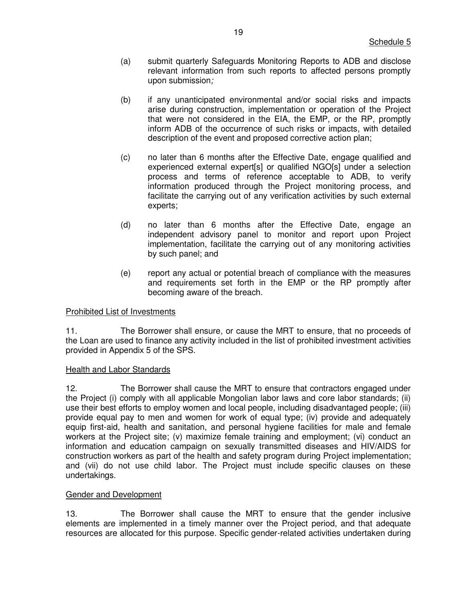- (a) submit quarterly Safeguards Monitoring Reports to ADB and disclose relevant information from such reports to affected persons promptly upon submission*;*
- (b) if any unanticipated environmental and/or social risks and impacts arise during construction, implementation or operation of the Project that were not considered in the EIA, the EMP, or the RP, promptly inform ADB of the occurrence of such risks or impacts, with detailed description of the event and proposed corrective action plan;
- (c) no later than 6 months after the Effective Date, engage qualified and experienced external expert[s] or qualified NGO[s] under a selection process and terms of reference acceptable to ADB, to verify information produced through the Project monitoring process, and facilitate the carrying out of any verification activities by such external experts;
- (d) no later than 6 months after the Effective Date, engage an independent advisory panel to monitor and report upon Project implementation, facilitate the carrying out of any monitoring activities by such panel; and
- (e) report any actual or potential breach of compliance with the measures and requirements set forth in the EMP or the RP promptly after becoming aware of the breach.

## Prohibited List of Investments

11. The Borrower shall ensure, or cause the MRT to ensure, that no proceeds of the Loan are used to finance any activity included in the list of prohibited investment activities provided in Appendix 5 of the SPS.

### Health and Labor Standards

12. The Borrower shall cause the MRT to ensure that contractors engaged under the Project (i) comply with all applicable Mongolian labor laws and core labor standards; (ii) use their best efforts to employ women and local people, including disadvantaged people; (iii) provide equal pay to men and women for work of equal type; (iv) provide and adequately equip first-aid, health and sanitation, and personal hygiene facilities for male and female workers at the Project site; (v) maximize female training and employment; (vi) conduct an information and education campaign on sexually transmitted diseases and HIV/AIDS for construction workers as part of the health and safety program during Project implementation; and (vii) do not use child labor. The Project must include specific clauses on these undertakings.

### Gender and Development

13. The Borrower shall cause the MRT to ensure that the gender inclusive elements are implemented in a timely manner over the Project period, and that adequate resources are allocated for this purpose. Specific gender-related activities undertaken during